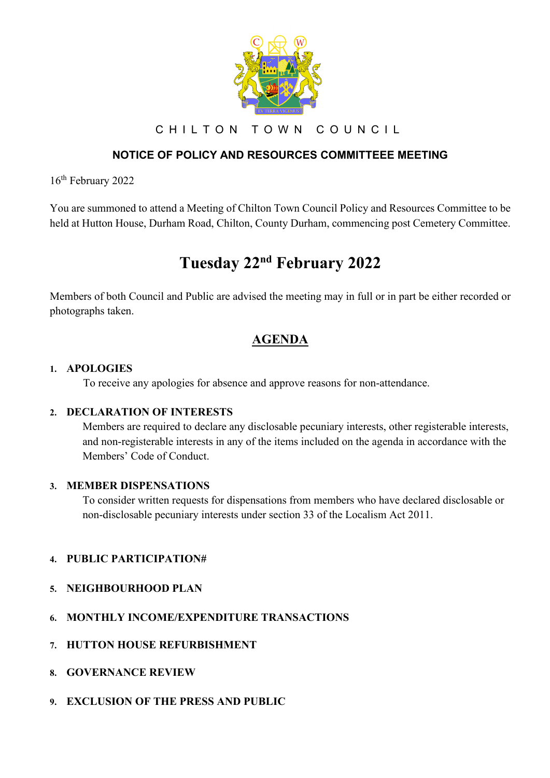

CHILTON TOWN COUNCIL

# **NOTICE OF POLICY AND RESOURCES COMMITTEEE MEETING**

16th February 2022

You are summoned to attend a Meeting of Chilton Town Council Policy and Resources Committee to be held at Hutton House, Durham Road, Chilton, County Durham, commencing post Cemetery Committee.

# **Tuesday 22nd February 2022**

Members of both Council and Public are advised the meeting may in full or in part be either recorded or photographs taken.

# **AGENDA**

#### **1. APOLOGIES**

To receive any apologies for absence and approve reasons for non-attendance.

#### **2. DECLARATION OF INTERESTS**

Members are required to declare any disclosable pecuniary interests, other registerable interests, and non-registerable interests in any of the items included on the agenda in accordance with the Members' Code of Conduct.

#### **3. MEMBER DISPENSATIONS**

To consider written requests for dispensations from members who have declared disclosable or non-disclosable pecuniary interests under section 33 of the Localism Act 2011.

# **4. PUBLIC PARTICIPATION#**

- **5. NEIGHBOURHOOD PLAN**
- **6. MONTHLY INCOME/EXPENDITURE TRANSACTIONS**
- **7. HUTTON HOUSE REFURBISHMENT**
- **8. GOVERNANCE REVIEW**
- **9. EXCLUSION OF THE PRESS AND PUBLIC**